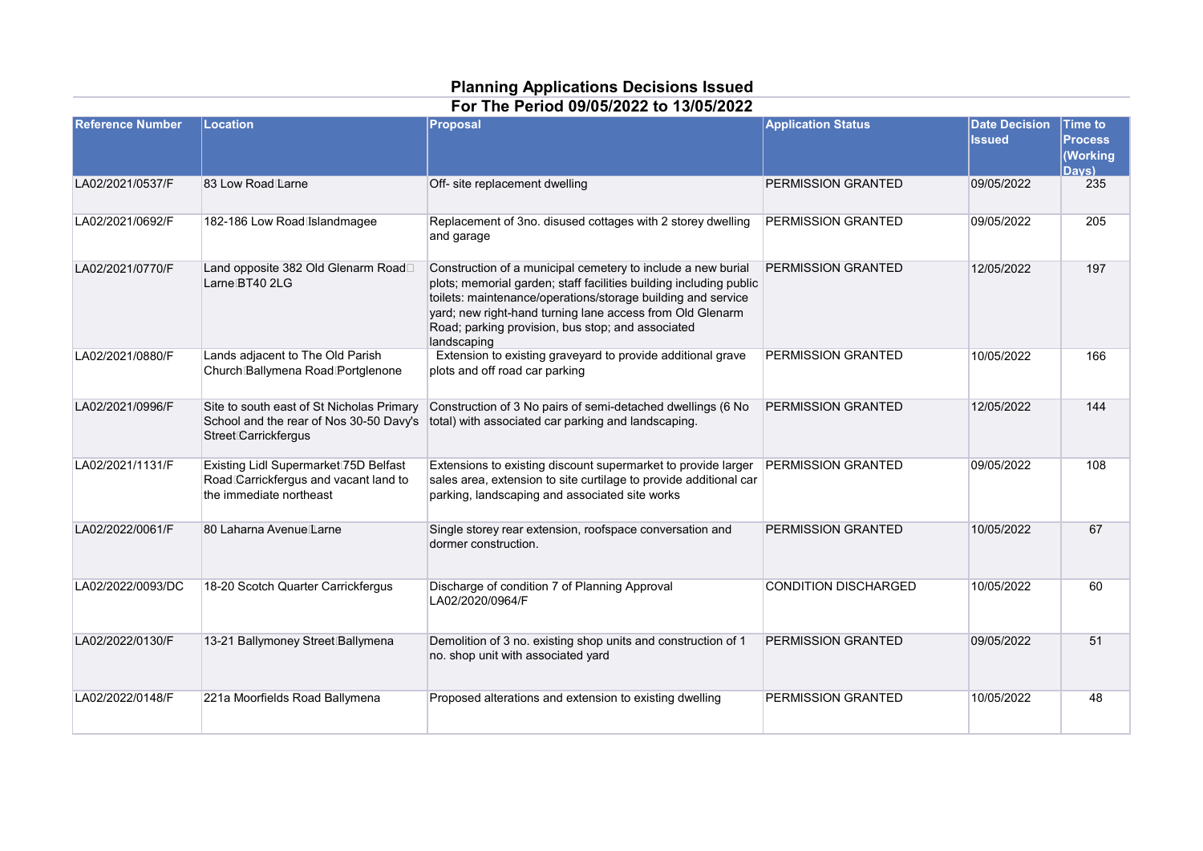## **Planning Applications Decisions Issued For The Period 09/05/2022 to 13/05/2022**

| <b>Reference Number</b> | Location                                                                                                             | Proposal                                                                                                                                                                                                                                                                                                                            | <b>Application Status</b>   | <b>Date Decision</b><br><b>Issued</b> | <b>Time to</b><br><b>Process</b><br>(Working<br>Davs) |
|-------------------------|----------------------------------------------------------------------------------------------------------------------|-------------------------------------------------------------------------------------------------------------------------------------------------------------------------------------------------------------------------------------------------------------------------------------------------------------------------------------|-----------------------------|---------------------------------------|-------------------------------------------------------|
| LA02/2021/0537/F        | 83 Low Road Larne                                                                                                    | Off- site replacement dwelling                                                                                                                                                                                                                                                                                                      | <b>PERMISSION GRANTED</b>   | 09/05/2022                            | 235                                                   |
| LA02/2021/0692/F        | 182-186 Low Road Islandmagee                                                                                         | Replacement of 3no. disused cottages with 2 storey dwelling<br>and garage                                                                                                                                                                                                                                                           | <b>PERMISSION GRANTED</b>   | 09/05/2022                            | 205                                                   |
| LA02/2021/0770/F        | Land opposite 382 Old Glenarm Road<br>Larne BT40 2LG                                                                 | Construction of a municipal cemetery to include a new burial<br>plots; memorial garden; staff facilities building including public<br>toilets: maintenance/operations/storage building and service<br>yard; new right-hand turning lane access from Old Glenarm<br>Road; parking provision, bus stop; and associated<br>landscaping | PERMISSION GRANTED          | 12/05/2022                            | 197                                                   |
| LA02/2021/0880/F        | Lands adjacent to The Old Parish<br>Church Ballymena Road Portglenone                                                | Extension to existing graveyard to provide additional grave<br>plots and off road car parking                                                                                                                                                                                                                                       | PERMISSION GRANTED          | 10/05/2022                            | 166                                                   |
| LA02/2021/0996/F        | Site to south east of St Nicholas Primary<br>School and the rear of Nos 30-50 Davy's<br>Street Carrickfergus         | Construction of 3 No pairs of semi-detached dwellings (6 No<br>total) with associated car parking and landscaping.                                                                                                                                                                                                                  | PERMISSION GRANTED          | 12/05/2022                            | 144                                                   |
| LA02/2021/1131/F        | Existing Lidl Supermarket <sup>75D</sup> Belfast<br>Road Carrickfergus and vacant land to<br>the immediate northeast | Extensions to existing discount supermarket to provide larger<br>sales area, extension to site curtilage to provide additional car<br>parking, landscaping and associated site works                                                                                                                                                | <b>PERMISSION GRANTED</b>   | 09/05/2022                            | 108                                                   |
| LA02/2022/0061/F        | 80 Laharna Avenue Larne                                                                                              | Single storey rear extension, roofspace conversation and<br>dormer construction.                                                                                                                                                                                                                                                    | PERMISSION GRANTED          | 10/05/2022                            | 67                                                    |
| LA02/2022/0093/DC       | 18-20 Scotch Quarter Carrickfergus                                                                                   | Discharge of condition 7 of Planning Approval<br>LA02/2020/0964/F                                                                                                                                                                                                                                                                   | <b>CONDITION DISCHARGED</b> | 10/05/2022                            | 60                                                    |
| LA02/2022/0130/F        | 13-21 Ballymoney Street Ballymena                                                                                    | Demolition of 3 no. existing shop units and construction of 1<br>no. shop unit with associated yard                                                                                                                                                                                                                                 | <b>PERMISSION GRANTED</b>   | 09/05/2022                            | 51                                                    |
| LA02/2022/0148/F        | 221a Moorfields Road Ballymena                                                                                       | Proposed alterations and extension to existing dwelling                                                                                                                                                                                                                                                                             | <b>PERMISSION GRANTED</b>   | 10/05/2022                            | 48                                                    |